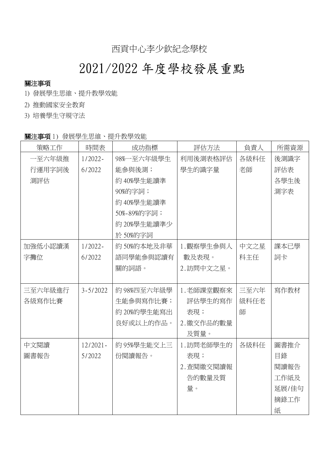## 西貢中心李少欽紀念學校

# 2021/2022 年度學校發展重點

#### 關注事項

- 1) 發展學生思維、提升教學效能
- 2) 推動國家安全教育
- 3) 培養學生守規守法

| 關注事項 1) | 發展學生思維 | 提升教學效能 |
|---------|--------|--------|
|         |        |        |

| 策略工作    | 時間表          | 成功指標        | 評估方法       | 負責人  | 所需資源  |
|---------|--------------|-------------|------------|------|-------|
| 一至六年級推  | $1/2022 -$   | 98%一至六年級學生  | 利用後測表格評估   | 各級科任 | 後測識字  |
| 行運用字詞後  | 6/2022       | 能參與後測;      | 學生的識字量     | 老師   | 評估表   |
| 測評估     |              | 約 40%學生能讀準  |            |      | 各學生後  |
|         |              | 90%的字詞;     |            |      | 測字表   |
|         |              | 約40%學生能讀準   |            |      |       |
|         |              | 50%-89%的字詞; |            |      |       |
|         |              | 約 20%學生能讀準少 |            |      |       |
|         |              | 於 50%的字詞    |            |      |       |
| 加強低小認讀漢 | $1/2022 -$   | 約50%的本地及非華  | 1.觀察學生參與人  | 中文之星 | 課本已學  |
| 字攤位     | 6/2022       | 語同學能參與認讀有   | 數及表現。      | 科主任  | 詞卡    |
|         |              | 關的詞語。       | 2. 訪問中文之星。 |      |       |
|         |              |             |            |      |       |
| 三至六年級進行 | $3 - 5/2022$ | 約98%四至六年級學  | 1. 老師課堂觀察來 | 三至六年 | 寫作教材  |
| 各級寫作比賽  |              | 生能參與寫作比賽;   | 評估學生的寫作    | 級科任老 |       |
|         |              | 約 20%的學生能寫出 | 表現;        | 師    |       |
|         |              | 良好或以上的作品。   | 2. 缴交作品的數量 |      |       |
|         |              |             | 及質量。       |      |       |
| 中文閱讀    | $12/2021 -$  | 約95%學生能交上三  | 1.訪問老師學生的  | 各級科任 | 圖書推介  |
| 圖書報告    | 5/2022       | 份閱讀報告。      | 表現;        |      | 目錄    |
|         |              |             | 2. 查閱繳交閱讀報 |      | 閱讀報告  |
|         |              |             | 告的數量及質     |      | 工作紙及  |
|         |              |             | 量。         |      | 延展/佳句 |
|         |              |             |            |      | 摘錄工作  |
|         |              |             |            |      | 紙     |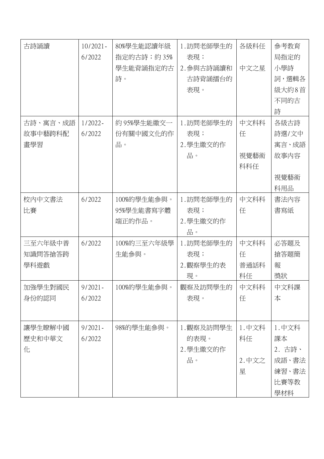| 古詩誦讀     | $10/2021 -$ | 80%學生能認讀年級  | 1. 訪問老師學生的 | 各級科任  | 參考教育   |
|----------|-------------|-------------|------------|-------|--------|
|          | 6/2022      | 指定的古詩;約35%  | 表現;        |       | 局指定的   |
|          |             | 學生能背誦指定的古   | 2.參與古詩誦讀和  | 中文之星  | 小學詩    |
|          |             | 詩。          | 古詩背誦擂台的    |       | 詞,選輯各  |
|          |             |             | 表現。        |       | 級大約8首  |
|          |             |             |            |       | 不同的古   |
|          |             |             |            |       | 詩      |
| 古詩、寓言、成語 | $1/2022 -$  | 約 95%學生能繳交一 | 1.訪問老師學生的  | 中文科科  | 各級古詩   |
| 故事中藝跨科配  | 6/2022      | 份有關中國文化的作   | 表現;        | 任     | 詩選/文中  |
| 畫學習      |             | 品。          | 2.學生繳交的作   |       | 寓言、成語  |
|          |             |             | 品。         | 視覺藝術  | 故事内容   |
|          |             |             |            | 科科任   |        |
|          |             |             |            |       | 視覺藝術   |
|          |             |             |            |       | 科用品    |
| 校内中文書法   | 6/2022      | 100%的學生能參與。 | 1.訪問老師學生的  | 中文科科  | 書法内容   |
| 比賽       |             | 95%學生能書寫字體  | 表現;        | 任     | 書寫紙    |
|          |             | 端正的作品。      | 2.學生繳交的作   |       |        |
|          |             |             | 品。         |       |        |
| 三至六年級中普  | 6/2022      | 100%的三至六年級學 | 1.訪問老師學生的  | 中文科科  | 必答題及   |
| 知識問答搶答跨  |             | 生能參與。       | 表現;        | 任     | 搶答題簡   |
| 學科遊戲     |             |             | 2.觀察學生的表   | 普通話科  | 報      |
|          |             |             | 現。         | 科任    | 獎狀     |
| 加強學生對國民  | $9/2021 -$  | 100%的學生能參與。 | 觀察及訪問學生的   | 中文科科  | 中文科課   |
| 身份的認同    | 6/2022      |             | 表現。        | 任     | 本      |
|          |             |             |            |       |        |
| 讓學生瞭解中國  | $9/2021 -$  | 98%的學生能參與。  | 1.觀察及訪問學生  | 1.中文科 | 1.中文科  |
| 歷史和中華文   | 6/2022      |             | 的表現。       | 科任    | 課本     |
| 化        |             |             | 2.學生繳交的作   |       | 2. 古詩、 |
|          |             |             | 品。         | 2.中文之 | 成語、書法  |
|          |             |             |            | 星     | 練習、書法  |
|          |             |             |            |       | 比賽等教   |
|          |             |             |            |       | 學材料    |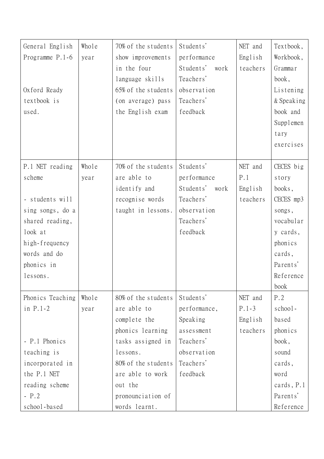| General English  | Whole | 70% of the students | Students'         | NET and  | Textbook,  |
|------------------|-------|---------------------|-------------------|----------|------------|
| Programme P.1-6  | year  | show improvements   | performance       | English  | Workbook,  |
|                  |       | in the four         | Students'<br>work | teachers | Grammar    |
|                  |       | language skills     | Teachers'         |          | book,      |
| Oxford Ready     |       | 65% of the students | observation       |          | Listening  |
| textbook is      |       | (on average) pass   | Teachers'         |          | & Speaking |
| used.            |       | the English exam    | feedback          |          | book and   |
|                  |       |                     |                   |          | Supplemen  |
|                  |       |                     |                   |          | tary       |
|                  |       |                     |                   |          | exercises  |
|                  |       |                     |                   |          |            |
| P.1 NET reading  | Whole | 70% of the students | Students'         | NET and  | CECES big  |
| scheme           | year  | are able to         | performance       | P.1      | story      |
|                  |       | identify and        | Students'<br>work | English  | books,     |
| - students will  |       | recognise words     | Teachers'         | teachers | CECES mp3  |
| sing songs, do a |       | taught in lessons.  | observation       |          | songs,     |
| shared reading,  |       |                     | Teachers'         |          | vocabular  |
| look at          |       |                     | feedback          |          | y cards,   |
| high-frequency   |       |                     |                   |          | phonics    |
| words and do     |       |                     |                   |          | cards,     |
| phonics in       |       |                     |                   |          | Parents'   |
| lessons.         |       |                     |                   |          | Reference  |
|                  |       |                     |                   |          | book       |
| Phonics Teaching | Whole | 80% of the students | Students'         | NET and  | P.2        |
| in $P.1-2$       | year  | are able to         | performance,      | $P.1-3$  | school-    |
|                  |       | complete the        | Speaking          | English  | based      |
|                  |       | phonics learning    | assessment        | teachers | phonics    |
| - P.1 Phonics    |       | tasks assigned in   | Teachers'         |          | book,      |
| teaching is      |       | lessons.            | observation       |          | sound      |
| incorporated in  |       | 80% of the students | Teachers'         |          | cards,     |
| the P.1 NET      |       | are able to work    | feedback          |          | word       |
| reading scheme   |       | out the             |                   |          | cards, P.1 |
| $- P.2$          |       | pronounciation of   |                   |          | Parents'   |
| school-based     |       | words learnt.       |                   |          | Reference  |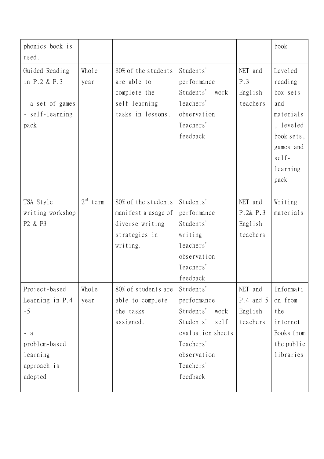| phonics book is<br>used.                                                                                 |               |                                                                                            |                                                                                                                                              |                                               | book                                                                                                                    |
|----------------------------------------------------------------------------------------------------------|---------------|--------------------------------------------------------------------------------------------|----------------------------------------------------------------------------------------------------------------------------------------------|-----------------------------------------------|-------------------------------------------------------------------------------------------------------------------------|
| Guided Reading<br>in P.2 & P.3<br>- a set of games<br>- self-learning<br>pack                            | Whole<br>year | 80% of the students<br>are able to<br>complete the<br>self-learning<br>tasks in lessons.   | Students'<br>performance<br>Students'<br>work<br>Teachers'<br>observation<br>Teachers'<br>feedback                                           | NET and<br>P.3<br>English<br>teachers         | Leveled<br>reading<br>box sets<br>and<br>materials<br>, leveled<br>book sets,<br>games and<br>self-<br>learning<br>pack |
| TSA Style<br>writing workshop<br>P2 & P3                                                                 | $2^{nd}$ term | 80% of the students<br>manifest a usage of<br>diverse writing<br>strategies in<br>writing. | Students'<br>performance<br>Students'<br>writing<br>Teachers'<br>observation<br>Teachers'<br>feedback                                        | NET and<br>P.2& P.3<br>English<br>teachers    | Writing<br>materials                                                                                                    |
| Project-based<br>Learning in P.4<br>$-5$<br>$- a$<br>problem-based<br>learning<br>approach is<br>adopted | Whole<br>year | 80% of students are<br>able to complete<br>the tasks<br>assigned.                          | Students'<br>performance<br>Students'<br>work<br>Students'<br>self<br>evaluation sheets<br>Teachers'<br>observation<br>Teachers'<br>feedback | NET and<br>$P.4$ and 5<br>English<br>teachers | Informati<br>on from<br>the<br>internet<br>Books from<br>the public<br>libraries                                        |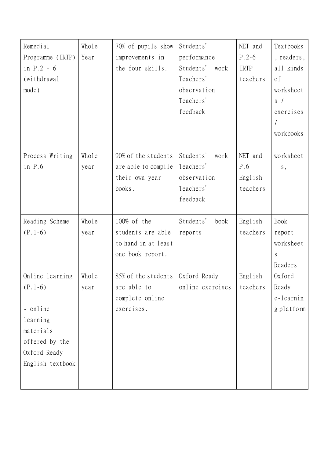| Remedial<br>Programme (IRTP)<br>in P.2 - 6<br>(withdrawal<br>mode)                                                      | Whole<br>Year | 70% of pupils show<br>improvements in<br>the four skills.                   | Students'<br>performance<br>Students'<br>work<br>Teachers'<br>observation<br>Teachers'<br>feedback | NET and<br>$P.2-6$<br>IRTP<br>teachers | Textbooks<br>, readers,<br>all kinds<br><sub>of</sub><br>worksheet<br>S /<br>exercises<br>$\sqrt{2}$ |
|-------------------------------------------------------------------------------------------------------------------------|---------------|-----------------------------------------------------------------------------|----------------------------------------------------------------------------------------------------|----------------------------------------|------------------------------------------------------------------------------------------------------|
|                                                                                                                         |               |                                                                             |                                                                                                    |                                        | workbooks                                                                                            |
| Process Writing<br>$in$ $P.6$                                                                                           | Whole<br>year | 90% of the students<br>are able to compile<br>their own year<br>books.      | Students'<br>work<br>Teachers'<br>observation<br>Teachers'<br>feedback                             | NET and<br>P.6<br>English<br>teachers  | worksheet<br>${\bf S}$ ,                                                                             |
| Reading Scheme<br>$(P.1-6)$                                                                                             | Whole<br>year | 100% of the<br>students are able<br>to hand in at least<br>one book report. | Students'<br>book<br>reports                                                                       | English<br>teachers                    | <b>Book</b><br>report<br>worksheet<br>${\bf S}$<br>Readers                                           |
| Online learning<br>$(P.1-6)$<br>- online<br>learning<br>materials<br>offered by the<br>Oxford Ready<br>English textbook | Whole<br>year | 85% of the students<br>are able to<br>complete online<br>exercises.         | Oxford Ready<br>online exercises                                                                   | English<br>teachers                    | Oxford<br>Ready<br>e-learnin<br>gplatform                                                            |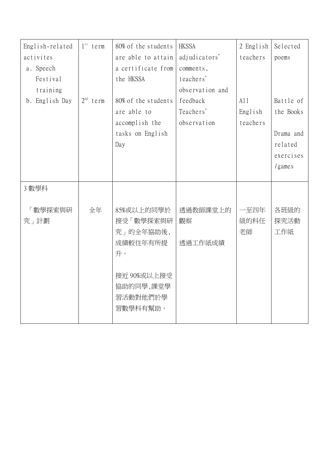| English-related | $1st$ term    | 80% of the students | <b>HKSSA</b>    | $2$ English | Selected  |
|-----------------|---------------|---------------------|-----------------|-------------|-----------|
| activites       |               | are able to attain  | adjudicators'   | teachers    | poems     |
| a. Speech       |               | a certificate from  | comments,       |             |           |
| Festival        |               | the HKSSA           | teachers'       |             |           |
| training        |               |                     | observation and |             |           |
| b. English Day  | $2^{nd}$ term | 80% of the students | feedback        | A11         | Battle of |
|                 |               | are able to         | Teachers'       | English     | the Books |
|                 |               | accomplish the      | observation     | teachers    |           |
|                 |               | tasks on English    |                 |             | Drama and |
|                 |               | Day                 |                 |             | related   |
|                 |               |                     |                 |             | exercises |
|                 |               |                     |                 |             | /games    |
|                 |               |                     |                 |             |           |
| 3 數學科           |               |                     |                 |             |           |
|                 |               |                     |                 |             |           |
| 「數學探索與研         | 全年            | 85%或以上的同學於          | 透過教師課堂上的        | 一至四年        | 各班級的      |
| 究」計劃            |               | 接受「數學探索與研           | 觀察              | 級的科任        | 探究活動      |
|                 |               | 究」的全年協助後,           |                 | 老師          | 工作紙       |
|                 |               | 成績較往年有所提            | 透過工作紙成績         |             |           |
|                 |               | 升。                  |                 |             |           |
|                 |               |                     |                 |             |           |
|                 |               | 接近90%或以上接受          |                 |             |           |
|                 |               | 協助的同學,課堂學           |                 |             |           |
|                 |               | 習活動對他們於學            |                 |             |           |
|                 |               | 習數學科有幫助。            |                 |             |           |
|                 |               |                     |                 |             |           |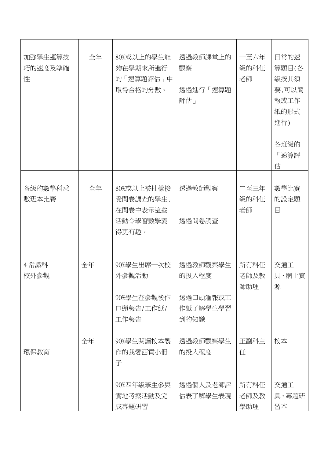| 加強學生運算技<br>巧的速度及準確<br>性 | 全年 | 80%或以上的學生能<br>夠在學期末所進行<br>的「速算題評估」中<br>取得合格的分數。                | 透過教師課堂上的<br>觀察<br>透過進行「速算題<br>評估」                 | 一至六年<br>級的科任<br>老師               | 日常的速<br>算題目(各<br>級按其須<br>要,可以簡<br>報或工作<br>紙的形式<br>進行)<br>各班級的<br>「速算評<br>估」 |
|-------------------------|----|----------------------------------------------------------------|---------------------------------------------------|----------------------------------|-----------------------------------------------------------------------------|
| 各級的數學科乘<br>數班本比賽        | 全年 | 80%或以上被抽樣接<br>受問卷調查的學生,<br>在問卷中表示這些<br>活動令學習數學變<br>得更有趣。       | 透過教師觀察<br>透過問卷調査                                  | 二至三年<br>級的科任<br>老師               | 數學比賽<br>的設定題<br>目                                                           |
| 4 常識科<br>校外參觀           | 全年 | 90%學生出席一次校<br>外參觀活動<br>90%學生在參觀後作<br>口頭報告/工作紙/<br>工作報告         | 透過教師觀察學生<br>的投入程度<br>透過口頭滙報或工<br>作紙了解學生學習<br>到的知識 | 所有科任<br>老師及教<br>師助理              | 交通工<br>具、網上資<br>源                                                           |
| 環保教育                    | 全年 | 90%學生閱讀校本製<br>作的我愛西貢小冊<br>子<br>90%四年級學生參與<br>實地考察活動及完<br>成專題研習 | 透過教師觀察學生<br>的投入程度<br>透過個人及老師評<br>估表了解學生表現         | 正副科主<br>任<br>所有科任<br>老師及教<br>學助理 | 校本<br>交通工<br>具、專題研<br>習本                                                    |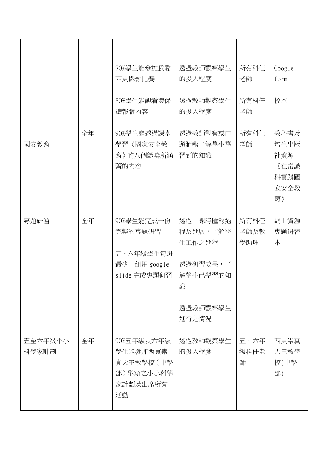|                  |    | 70%學生能參加我愛                                                          | 透過教師觀察學生                                                                         | 所有科任                | Google                                             |
|------------------|----|---------------------------------------------------------------------|----------------------------------------------------------------------------------|---------------------|----------------------------------------------------|
|                  |    | 西貢攝影比賽                                                              | 的投入程度                                                                            | 老師                  | form                                               |
|                  |    | 80%學生能觀看環保<br>壁報版內容                                                 | 透過教師觀察學生<br>的投入程度                                                                | 所有科任<br>老師          | 校本                                                 |
| 國安教育             | 全年 | 90%學生能透過課堂<br>學習《國家安全教<br>育》的八個範疇所涵<br>蓋的內容                         | 透過教師觀察或口<br>頭滙報了解學生學<br>習到的知識                                                    | 所有科任<br>老師          | 教科書及<br>培生出版<br>社資源-<br>《在常識<br>科實踐國<br>家安全教<br>育》 |
| 專題研習             | 全年 | 90%學生能完成一份<br>完整的專題研習<br>五、六年級學生每班<br>最少一組用 google<br>slide 完成專題研習  | 透過上課時匯報過<br>程及進展,了解學<br>生工作之進程<br>透過研習成果,了<br>解學生已學習的知<br>識<br>透過教師觀察學生<br>進行之情況 | 所有科任<br>老師及教<br>學助理 | 網上資源<br>專題研習<br>本                                  |
| 五至六年級小小<br>科學家計劃 | 全年 | 90%五年級及六年級<br>學生能參加西貢崇<br>真天主教學校 (中學<br>部)舉辦之小小科學<br>家計劃及出席所有<br>活動 | 透過教師觀察學生<br>的投入程度                                                                | 五、六年<br>級科任老<br>師   | 西貢崇真<br>天主教學<br>校(中學<br>部)                         |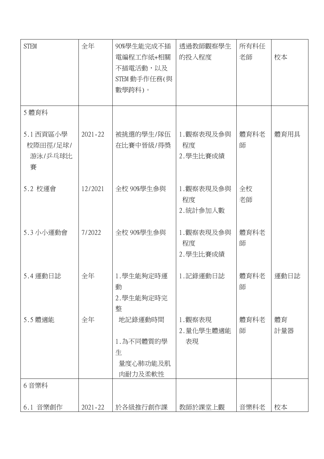| <b>STEM</b>                           | 全年          | 90%學生能完成不插<br>電編程工作紙+相關<br>不插電活動,以及<br>STEM 動手作任務(與<br>數學跨科)。 | 透過教師觀察學生<br>的投入程度            | 所有科任<br>老師 | 校本        |
|---------------------------------------|-------------|---------------------------------------------------------------|------------------------------|------------|-----------|
| 5體育科                                  |             |                                                               |                              |            |           |
| 5.1 西貢區小學<br>校際田徑/足球/<br>游泳/乒乓球比<br>賽 | $2021 - 22$ | 被挑選的學生/隊伍<br>在比賽中晉級/得獎                                        | 1.觀察表現及參與<br>程度<br>2.學生比賽成績  | 體育科老<br>師  | 體育用具      |
| 5.2 校運會                               | 12/2021     | 全校 90%學生參與                                                    | 1.觀察表現及參與<br>程度<br>2. 統計參加人數 | 全校<br>老師   |           |
| 5.3 小小運動會                             | 7/2022      | 全校 90%學生參與                                                    | 1.觀察表現及參與<br>程度<br>2. 學生比賽成績 | 體育科老<br>師  |           |
| 5.4 運動日誌                              | 全年          | 1.學生能夠定時運<br>動<br>2. 學生能夠定時完<br>整                             | 1.記錄運動日誌                     | 體育科老<br>師  | 運動日誌      |
| 5.5 體適能                               | 全年          | 地記錄運動時間<br>1.為不同體質的學<br>生<br>量度心肺功能及肌<br>肉耐力及柔軟性              | 1.觀察表現<br>2. 量化學生體適能<br>表現   | 體育科老<br>師  | 體育<br>計量器 |
| 6音樂科                                  |             |                                                               |                              |            |           |
| 6.1 音樂創作                              | $2021 - 22$ | 於各級推行創作課                                                      | 教師於課堂上觀                      | 音樂科老       | 校本        |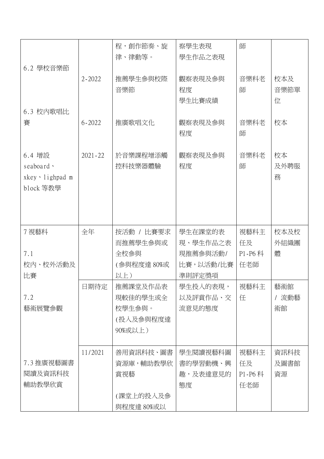| 6.2 學校音樂節                                             | $2 - 2022$  | 程,創作節奏、旋<br>律、律動等。<br>推薦學生參與校際<br>音樂節                | 察學生表現<br>學生作品之表現<br>觀察表現及參與<br>程度<br>學生比賽成績            | 師<br>音樂科老<br>師              | 校本及<br>音樂節單<br>位   |
|-------------------------------------------------------|-------------|------------------------------------------------------|--------------------------------------------------------|-----------------------------|--------------------|
| 6.3 校内歌唱比<br>賽                                        | $6 - 2022$  | 推廣歌唱文化                                               | 觀察表現及參與<br>程度                                          | 音樂科老<br>師                   | 校本                 |
| 6.4 增設<br>seaboard ·<br>xkey · lighpad m<br>block 等教學 | $2021 - 22$ | 於音樂課程增添觸<br>控科技樂器體驗                                  | 觀察表現及參與<br>程度                                          | 音樂科老<br>師                   | 校本<br>及外聘服<br>務    |
| 7 視藝科<br>7.1<br>校内、校外活動及<br>比賽                        | 全年          | 按活動 / 比賽要求<br>而推薦學生參與或<br>全校參與<br>(參與程度達 80%或<br>以上) | 學生在課堂的表<br>現、學生作品之表<br>現推薦參與活動/<br>比賽,以活動/比賽<br>準則評定獎項 | 視藝科主<br>任及<br>P1-P6科<br>任老師 | 校本及校<br>外組織團<br>體  |
| 7.2<br>藝術展覽參觀                                         | 日期待定        | 推薦課堂及作品表<br>現較佳的學生或全<br>校學生參與。                       | 學生投入的表現,<br>以及評賞作品、交<br>流意見的態度                         | 視藝科主<br>任                   | 藝術館<br>/ 流動藝<br>術館 |
|                                                       |             | (投入及參與程度達<br>90%或以上)                                 |                                                        |                             |                    |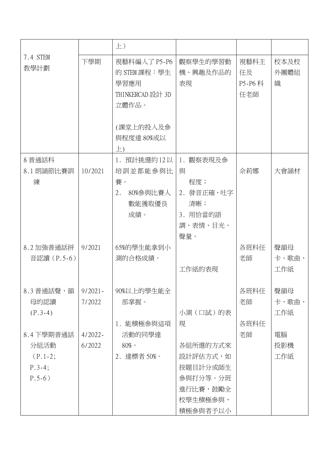|                                                         |                      | $\pm$ )                                                                        |                                                                                  |                             |                     |
|---------------------------------------------------------|----------------------|--------------------------------------------------------------------------------|----------------------------------------------------------------------------------|-----------------------------|---------------------|
| 7.4 STEM<br>教學計劃                                        | 下學期                  | 視藝科編入了 P5-P6<br>的 STEM 課程:學生<br>學習應用<br>THINKERCAD 設計 3D<br>立體作品。<br>(課堂上的投入及參 | 觀察學生的學習動<br>機、興趣及作品的<br>表現                                                       | 視藝科主<br>任及<br>P5-P6科<br>任老師 | 校本及校<br>外團體組<br>織   |
|                                                         |                      | 與程度達 80%或以<br>$\pm$ )                                                          |                                                                                  |                             |                     |
| 8 普通話科<br>8.1 朗誦節比賽訓<br>練                               | 10/2021              | 1. 預計挑選約12以<br>培訓並都能參與比<br>賽。<br>2.<br>80%參與比賽人<br>數能獲取優良<br>成績。               | 1. 觀察表現及參<br>與<br>程度;<br>2. 發音正確、吐字<br>清晰;<br>3. 用恰當的語<br>調、表情、目光、<br>聲量。        | 佘莉娜                         | 大會誦材                |
| 8.2 加強普通話拼<br>音認讀 (P.5-6)                               | 9/2021               | 65%的學生能拿到小<br>測的合格成績。                                                          | 工作紙的表現                                                                           | 各班科任<br>老師                  | 聲韻母<br>卡、歌曲、<br>工作紙 |
| 8.3 普通話聲、韻<br>母的認讀<br>$(P.3-4)$                         | $9/2021 -$<br>7/2022 | 90%以上的學生能全<br>部掌握。<br>1. 能積極參與這項                                               | 小測(口試)的表<br>現                                                                    | 各班科任<br>老師<br>各班科任          | 聲韻母<br>卡、歌曲、<br>工作紙 |
| 8.4 下學期普通話<br>分組活動<br>$(P.1-2;$<br>$P.3-4;$<br>$P.5-6)$ | $4/2022 -$<br>6/2022 | 活動的同學達<br>$80\%$<br>2. 達標者 50%。                                                | 各組所選的方式來<br>設計評估方式,如<br>按題目計分或師生<br>參與打分等。分班<br>進行比賽,鼓勵全<br>校學生積極參與,<br>積極參與者予以小 | 老師                          | 電腦<br>投影機<br>工作紙    |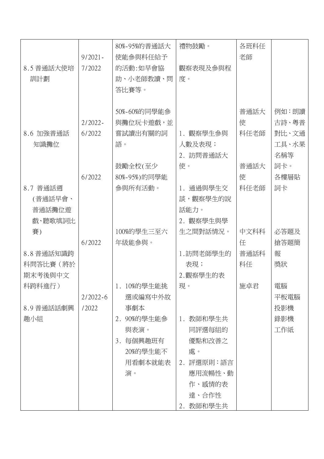|            |              | 80%-95%的普通話大 | 禮物鼓勵。         | 各班科任 |       |
|------------|--------------|--------------|---------------|------|-------|
|            | $9/2021 -$   | 使能参與科任給予     |               | 老師   |       |
| 8.5 普通話大使培 | 7/2022       | 的活動:如早會協     | 觀察表現及參與程      |      |       |
| 訓計劃        |              | 助、小老師教讀、問    | 度。            |      |       |
|            |              | 答比賽等。        |               |      |       |
|            |              |              |               |      |       |
|            |              | 50%-60%的同學能參 |               | 普通話大 | 例如:朗讀 |
|            | $2/2022 -$   | 與攤位玩卡遊戲,並    |               | 使    | 古詩、粵普 |
| 8.6 加強普通話  | 6/2022       | 嘗試讀出有關的詞     | 1. 觀察學生參與     | 科任老師 | 對比、文通 |
| 知識攤位       |              | 語。           | 人數及表現;        |      | 工具、水果 |
|            |              |              | 2. 訪問普通話大     |      | 名稱等   |
|            |              | 鼓勵全校(至少      | 使。            | 普通話大 | 詞卡。   |
|            | 6/2022       | 80%-95%)的同學能 |               | 使    | 各樓層貼  |
| 8.7 普通話週   |              | 參與所有活動。      | 通過與學生交<br>1.  | 科任老師 | 詞卡    |
| (普通話早會、    |              |              | 談,觀察學生的說      |      |       |
| 普通話攤位遊     |              |              | 話能力。          |      |       |
| 戲、聽歌填詞比    |              |              | 2. 觀察學生與學     |      |       |
| 賽)         |              | 100%的學生三至六   | 生之間對話情況。      | 中文科科 | 必答題及  |
|            | 6/2022       | 年級能參與。       |               | 任    | 搶答題簡  |
| 8.8 普通話知識跨 |              |              | 1. 訪問老師學生的    | 普通話科 | 報     |
| 科問答比賽(將於   |              |              | 表現;           | 科任   | 獎狀    |
| 期末考後與中文    |              |              | 2.觀察學生的表      |      |       |
| 科跨科進行)     |              | 1. 10%的學生能挑  | 現。            | 施卓君  | 電腦    |
|            | $2/2022 - 6$ | 選或編寫中外故      |               |      | 平板電腦  |
| 8.9 普通話話劇興 | /2022        | 事劇本          |               |      | 投影機   |
| 趣小組        |              | 2. 90%的學生能參  | 1. 教師和學生共     |      | 錄影機   |
|            |              | 與表演。         | 同評選每組的        |      | 工作紙   |
|            |              | 3. 每個興趣班有    | 優點和改善之        |      |       |
|            |              | 20%的學生能不     | 處。            |      |       |
|            |              | 用看劇本就能表      | 評選原則:語言<br>2. |      |       |
|            |              | 演。           | 應用流暢性、動       |      |       |
|            |              |              | 作、感情的表        |      |       |
|            |              |              | 達、合作性         |      |       |
|            |              |              | 2. 教師和學生共     |      |       |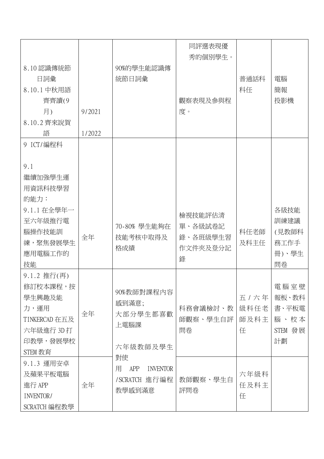|                |        |                             | 同評選表現優   |                 |                |
|----------------|--------|-----------------------------|----------|-----------------|----------------|
|                |        |                             | 秀的個別學生。  |                 |                |
| 8.10認識傳統節      |        | 90%的學生能認識傳                  |          |                 |                |
| 日詞彙            |        | 統節日詞彙                       |          | 普通話科            | 電腦             |
| 8.10.1 中秋用語    |        |                             |          | 科任              | 簡報             |
| 齊齊讀(9          |        |                             | 觀察表現及參與程 |                 | 投影機            |
| 月)             | 9/2021 |                             | 度。       |                 |                |
| 8.10.2 齊來說賀    |        |                             |          |                 |                |
| 語              | 1/2022 |                             |          |                 |                |
| 9 ICT/編程科      |        |                             |          |                 |                |
|                |        |                             |          |                 |                |
| 9.1            |        |                             |          |                 |                |
| 繼續加強學生運        |        |                             |          |                 |                |
| 用資訊科技學習        |        |                             |          |                 |                |
| 的能力:           |        |                             |          |                 |                |
| 9.1.1 在全學年一    |        |                             |          |                 | 各級技能           |
| 至六年級推行電        |        |                             | 檢視技能評估清  |                 | 訓練建議           |
| 腦操作技能訓         |        | 70-80% 學生能夠在                | 單、各級試卷記  | 科任老師            | (見教師科          |
| 練,聚焦發展學生       | 全年     | 技能考核中取得及                    | 錄、各班級學生習 | 及科主任            | 務工作手           |
| 應用電腦工作的        |        | 格成績                         | 作文件夾及登分記 |                 | 冊)、學生          |
| 技能             |        |                             | 錄        |                 | 問卷             |
| 9.1.2 推行(再)    |        |                             |          |                 |                |
| 修訂校本課程,按       |        |                             |          |                 | 電腦室壁           |
|                |        | 90%教師對課程內容                  |          |                 |                |
| 學生興趣及能<br>力,運用 |        | 感到滿意;                       | 科務會議檢討、教 | 五 / 六 年<br>級科任老 | 報板、教科<br>書、平板電 |
| TINKERCAD 在五及  | 全年     | 大部分學生都喜歡                    | 師觀察、學生自評 | 師及科主            | 腦、校本           |
| 六年級進行 3D打      |        | 上電腦課                        | 問卷       | 任               | STEM 發展        |
| 印教學,發展學校       |        |                             |          |                 | 計劃             |
|                |        | 六年級教師及學生                    |          |                 |                |
| STEM 教育        |        | 對使                          |          |                 |                |
| 9.1.3 運用安卓     |        | APP<br><b>INVENTOR</b><br>用 |          |                 |                |
| 及蘋果平板電腦        |        | /SCRATCH 進行編程               | 教師觀察、學生自 | 六年級科            |                |
| 進行 APP         | 全年     | 教學感到滿意                      | 評問卷      | 任及科主            |                |
| INVENTOR/      |        |                             |          | 任               |                |
| SCRATCH 編程教學   |        |                             |          |                 |                |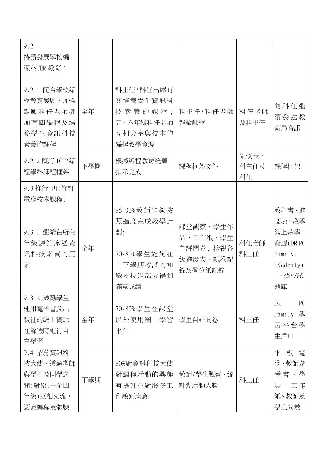| 9.2<br>持續發展學校編<br>程/STEM 教育:                                        |     |                                                                          |                                                         |                    |                                                                |
|---------------------------------------------------------------------|-----|--------------------------------------------------------------------------|---------------------------------------------------------|--------------------|----------------------------------------------------------------|
| 9.2.1 配合學校編<br>程教育發展,加強<br>鼓勵科任老師參<br>加有關編程及培<br>養學生資訊科技<br>素養的課程   | 全年  | 科主任/科任出席有<br>關培養學生資訊科<br>技 素 養 的 課 程;<br>五、六年級科任老師<br>互相分享與校本的<br>編程教學資源 | 科主任/科任老師<br>報讀課程                                        | 科任老師<br>及科主任       | 向科任繼<br>續發送教<br>育局資訊                                           |
| 9.2.2 擬訂 ICT/編<br>程學科課程框架                                           | 下學期 | 根據編程教育統籌<br>指示完成                                                         | 課程框架文件                                                  | 副校長、<br>科主任及<br>科任 | 課程框架                                                           |
| 9.3 推行(再)修訂<br>電腦校本課程:                                              |     | 85-90%教師能夠按                                                              |                                                         |                    | 教科書、進                                                          |
| 9.3.1 繼續在所有<br>年級課節滲透資<br>訊科技素養的元<br>素                              | 全年  | 照進度完成教學計<br>劃:<br>70-80%學生能夠在<br>上下學期考試的知<br>識及技能部分得到<br>滿意成績            | 課堂觀察、學生作<br>品、工作紙、學生<br>自評問卷;檢視各<br>級進度表、試卷記<br>錄及登分紙記錄 | 科任老師<br>科主任        | 度表、教學<br>網上教學<br>資源(DRPC<br>Family,<br>HKedcity)<br>、學校試<br>題庫 |
| 9.3.2 鼓勵學生<br>運用電子書及出<br>版社的網上資源<br>在餘暇時進行自<br>主學習                  | 全年  | 70-80%學生在課堂<br>以外使用網上學習<br>平台                                            | 學生自評問卷                                                  | 科主任                | PC<br>DR<br>學<br>Family<br>習平台學<br>生戶口                         |
| 9.4 招募資訊科<br>技大使,透過老師<br>與學生及同學之<br>間(對象:一至四<br>年級)互相交流,<br>認識編程及體驗 | 下學期 | 80%對資訊科技大使<br>對編程活動的興趣<br>有提升並對服務工<br>作感到滿意                              | 教師/學生觀察、統<br>計參活動人數                                     | 科主任                | 板 電<br>平<br>腦、教師參<br>考書、學<br>具、工作<br>紙、教師及<br>學生問卷             |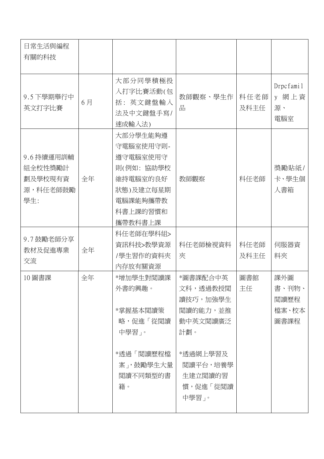| 日常生活與編程<br>有關的科技                                   |    |                                                                                                             |                                                                                                                         |              |                                       |
|----------------------------------------------------|----|-------------------------------------------------------------------------------------------------------------|-------------------------------------------------------------------------------------------------------------------------|--------------|---------------------------------------|
| 9.5 下學期舉行中<br>英文打字比賽                               | 6月 | 大部分同學積極投<br>入打字比賽活動(包<br>括: 英文鍵盤輸入<br>法及中文鍵盤手寫/<br>速成輸入法)                                                   | 教師觀察、學生作<br>品                                                                                                           | 科任老師<br>及科主任 | Drpcfamil<br>y 網上資<br>源、<br>電腦室       |
| 9.6持續運用訓輔<br>組全校性獎勵計<br>劃及學校現有資<br>源,科任老師鼓勵<br>學生: | 全年 | 大部分學生能夠遵<br>守電腦室使用守則-<br>遵守電腦室使用守<br>則(例如: 協助學校<br>維持電腦室的良好<br>狀態)及建立每星期<br>電腦課能夠攜帶教<br>科書上課的習慣和<br>攜帶教科書上課 | 教師觀察                                                                                                                    | 科任老師         | 獎勵貼紙/<br>卡、學生個<br>人書箱                 |
| 9.7 鼓勵老師分享<br>教材及促進專業<br>交流                        | 全年 | 科任老師在學科組><br>資訊科技>教學資源<br>/學生習作的資料夾<br>内存放有關資源                                                              | 科任老師檢視資料<br>夾                                                                                                           | 科任老師<br>及科主任 | 伺服器資<br>料夾                            |
| 10 圖書課                                             | 全年 | *增加學生對閱讀課<br>外書的興趣。<br>*掌握基本閲讀策<br>略,促進「從閲讀<br>中學習」。<br>*透過「閲讀歷程檔<br>案 ,鼓勵學生大量<br>閲讀不同類型的書<br>籍。            | *圖書課配合中英<br>文科,透過教授閲<br>讀技巧,加強學生<br>閲讀的能力,並推<br>動中英文閲讀廣泛<br>計劃。<br>*透過網上學習及<br>閲讀平台,培養學<br>生建立閲讀的習<br>慣,促進「從閲讀<br>中學習」。 | 圖書館<br>主任    | 課外圖<br>書、刊物、<br>閲讀歷程<br>檔案、校本<br>圖書課程 |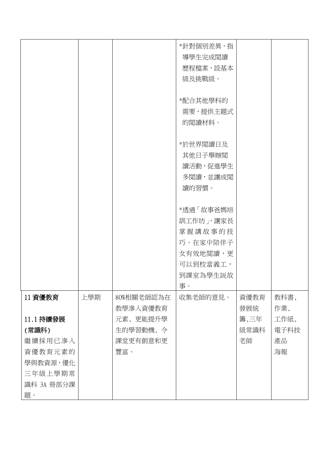|            |     |                        | *針對個別差異,指<br>導學生完成閱讀<br>歷程檔案,設基本<br>級及挑戰級。<br>*配合其他學科的<br>需要,提供主題式<br>的閲讀材料。<br>*於世界閲讀日及<br>其他日子舉辦閲<br>讀活動,促進學生<br>多閲讀,並讓成閱<br>讀的習慣。<br>*透過 「故事爸媽培<br>訓工作坊」,讓家長<br>掌握講故事的技<br>巧。在家中陪伴子<br>女有效地閲讀,更<br>可以到校當義工,<br>到課室為學生説故<br>事。 |             |             |
|------------|-----|------------------------|----------------------------------------------------------------------------------------------------------------------------------------------------------------------------------------------------------------------------------|-------------|-------------|
| 11 資優教育    | 上學期 | 80%相關老師認為在<br>教學滲入資優教育 | 收集老師的意見。                                                                                                                                                                                                                         | 資優教育<br>發展統 | 教科書,<br>作業, |
| 11.1 持續發展  |     | 元素, 更能提升學              |                                                                                                                                                                                                                                  | 籌,三年        | 工作紙,        |
| (常識科)      |     | 生的學習動機, 令              |                                                                                                                                                                                                                                  | 級常識科        | 電子科技        |
| 繼續採用已滲入    |     | 課堂更有創意和更               |                                                                                                                                                                                                                                  | 老師          | 產品          |
| 資優教育元素的    |     | 豐富。                    |                                                                                                                                                                                                                                  |             | 海報          |
| 學與教資源,優化   |     |                        |                                                                                                                                                                                                                                  |             |             |
| 三年級上學期常    |     |                        |                                                                                                                                                                                                                                  |             |             |
| 識科 3A 冊部分課 |     |                        |                                                                                                                                                                                                                                  |             |             |
| 題。         |     |                        |                                                                                                                                                                                                                                  |             |             |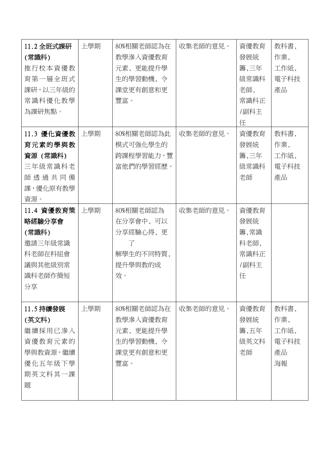| 11.2 全班式課研<br>(常識科)<br>推行校本資優教<br>育第一層全班式<br>課研,以三年級的<br>常識科優化教學<br>為課研焦點。      | 上學期 | 80%相關老師認為在<br>教學滲入資優教育<br>元素, 更能提升學<br>生的學習動機, 令<br>課堂更有創意和更<br>豐富。                 | 收集老師的意見。 | 資優教育<br>發展統<br>籌,三年<br>級常識科<br>老師,<br>常識科正<br>/副科主<br>任 | 教科書,<br>作業,<br>工作紙,<br>電子科技<br>產品       |
|---------------------------------------------------------------------------------|-----|-------------------------------------------------------------------------------------|----------|---------------------------------------------------------|-----------------------------------------|
| 11.3 優化資優教 上學期<br>育元素的學與教<br>資源 (常識科)<br>三年級常識科老<br>師透過共同備<br>課,優化原有教學<br>資源。   |     | 80%相關老師認為此<br>模式可強化學生的<br>跨課程學習能力,豐<br>富他們的學習經歷。                                    | 收集老師的意見。 | 資優教育<br>發展統<br>籌,三年<br>級常識科<br>老師                       | 教科書,<br>作業,<br>工作紙,<br>電子科技<br>產品       |
| 11.4 資優教育策<br>略經驗分享會<br>(常識科)<br>邀請三年級常識<br>科老師在科組會<br>議與其他級別常<br>識科老師作簡短<br>分享 | 上學期 | 80%相關老師認為<br>在分享會中, 可以<br>分享經驗心得, 更<br>$\overline{f}$<br>解學生的不同特質,<br>提升學與教的成<br>效。 | 收集老師的意見。 | 資優教育<br>發展統<br>籌,常識<br>科老師,<br>常識科正<br>/副科主<br>任        |                                         |
| 11.5 持續發展<br>(英文科)<br>繼續採用已滲入<br>資優教育元素的<br>學與教資源,繼續<br>優化五年級下學<br>期英文科其一課<br>題 | 上學期 | 80%相關老師認為在<br>教學滲入資優教育<br>元素,更能提升學<br>生的學習動機, 令<br>課堂更有創意和更<br>豐富。                  | 收集老師的意見。 | 資優教育<br>發展統<br>籌,五年<br>級英文科<br>老師                       | 教科書,<br>作業,<br>工作紙,<br>電子科技<br>產品<br>海報 |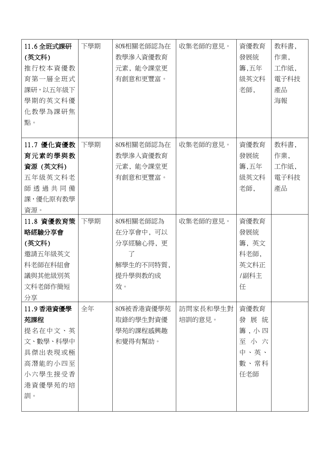| 11.6 全班式課研<br>(英文科)<br>推行校本資優教<br>育第一層全班式<br>課研,以五年級下<br>學期的英文科優<br>化教學為課研焦<br>點。          | 下學期 | 80%相關老師認為在<br>教學滲入資優教育<br>元素, 能令課堂更<br>有創意和更豐富。                             | 收集老師的意見。           | 資優教育<br>發展統<br>籌,五年<br>級英文科<br>老師,                | 教科書,<br>作業,<br>工作紙,<br>電子科技<br>產品<br>海報 |
|--------------------------------------------------------------------------------------------|-----|-----------------------------------------------------------------------------|--------------------|---------------------------------------------------|-----------------------------------------|
| 11.7 優化資優教  <br>育元素的學與教<br>資源 (英文科)<br>五年級英文科老<br>師透過共同備<br>課,優化原有教學<br>資源。                | 下學期 | 80%相關老師認為在<br>教學滲入資優教育<br>元素, 能令課堂更<br>有創意和更豐富。                             | 收集老師的意見。           | 資優教育<br>發展統<br>籌,五年<br>級英文科<br>老師,                | 教科書,<br>作業,<br>工作紙,<br>電子科技<br>產品       |
| 11.8 資優教育策<br>略經驗分享會<br>(英文科)<br>邀請五年級英文<br>科老師在科組會<br>議與其他級別英<br>文科老師作簡短<br>分享            | 下學期 | 80%相關老師認為<br>在分享會中, 可以<br>分享經驗心得, 更<br>$\top$<br>解學生的不同特質,<br>提升學與教的成<br>效。 | 收集老師的意見。           | 資優教育<br>發展統<br>籌、英文<br>科老師,<br>英文科正<br>/副科主<br>任  |                                         |
| 11.9 香港資優學<br>苑課程<br>提名在中文、英<br>文、數學、科學中<br>具傑出表現或極<br>高潛能的小四至<br>小六學生接受香<br>港資優學苑的培<br>訓。 | 全年  | 80%被香港資優學苑<br>取錄的學生對資優<br>學苑的課程感興趣<br>和覺得有幫助。                               | 訪問家長和學生對<br>培訓的意見。 | 資優教育<br>發展統<br>籌,小四<br>至小六<br>中、英、<br>數、常科<br>任老師 |                                         |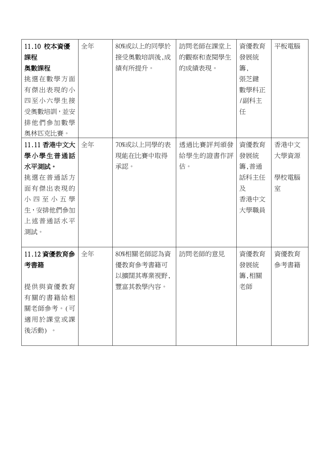| 11.10 校本資優<br>課程<br>奧數課程<br>挑選在數學方面<br>有傑出表現的小<br>四至小六學生接<br>受奧數培訓,並安<br>排他們參加數學<br>奧林匹克比賽。     | 全年 | 80%或以上的同學於<br>接受奧數培訓後,成<br>績有所提升。               | 訪問老師在課堂上<br>的觀察和查閱學生<br>的成績表現。 | 資優教育<br>發展統<br>籌.<br>張芝鍵<br>數學科正<br>/副科主<br>任    | 平板電腦                      |
|-------------------------------------------------------------------------------------------------|----|-------------------------------------------------|--------------------------------|--------------------------------------------------|---------------------------|
| 11.11 香港中文大  <br>學小學生普通話<br>水平測試。<br>挑選在普通話方<br>面有傑出表現的<br>小四至小五學<br>生,安排他們參加<br>上述普通話水平<br>測試。 | 全年 | 70%或以上同學的表<br>現能在比賽中取得<br>承認。                   | 透過比賽評判頒發<br>給學生的證書作評<br>估。     | 資優教育<br>發展統<br>籌,普通<br>話科主任<br>及<br>香港中文<br>大學職員 | 香港中文<br>大學資源<br>學校電腦<br>室 |
| 11.12 資優教育參<br>考書籍<br>提供與資優教育<br>有關的書籍給相<br>關老師參考。(可<br>適用於課堂或課<br>後活動)。                        | 全年 | 80%相關老師認為資<br>優教育參考書籍可<br>以擴闊其專業視野,<br>豐富其教學內容。 | 訪問老師的意見                        | 資優教育<br>發展統<br>籌,相關<br>老師                        | 資優教育<br>參考書籍              |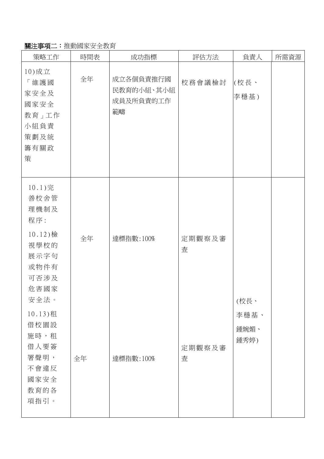#### 關注事項二:推動國家安全教育

| 策略工作                                                                                        | 時間表 | 成功指標                                       | 評估方法        | 負責人                  | 所需資源 |
|---------------------------------------------------------------------------------------------|-----|--------------------------------------------|-------------|----------------------|------|
| 10)成立<br>「維護國<br>家安全及<br>國家安全<br>教育」工作<br>小組負責<br>策劃及統<br>籌有關政<br>策                         | 全年  | 成立各個負責推行國<br>民教育的小組、其小組<br>成員及所負責的工作<br>範疇 | 校務會議檢討      | (校長、<br>李穩基)         |      |
| 10.1)完<br>善校舍管<br>理機制及<br>程序:<br>$10.12)$ 檢<br>視學校的<br>展示字句<br>或物件有<br>可否涉及<br>危害國家<br>安全法。 | 全年  | 達標指數:100%                                  | 定期觀察及審<br>查 | (校長、                 |      |
| 10.13)租<br>借校園設<br>施時,租<br>借人要簽<br>署聲明,<br>不會違反<br>國家安全<br>教育的各<br>項指引。                     | 全年  | 達標指數:100%                                  | 定期觀察及審<br>査 | 李穩基、<br>鍾婉媚、<br>鍾秀婷) |      |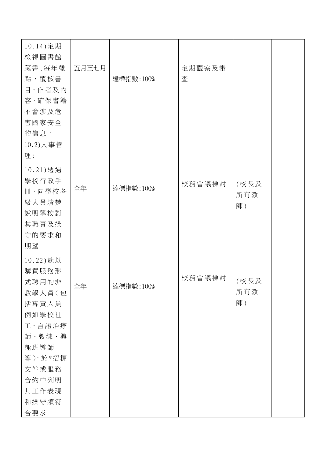| 10.14) 定期<br>檢視圖書館<br>藏書,每年盤<br>五月至七月<br>點,覆核書<br>目、作者及内<br>容,確保書籍<br>不會涉及危<br>害國家安全 | 達標指數:100% | 定期觀察及審<br>査 |                   |  |
|--------------------------------------------------------------------------------------|-----------|-------------|-------------------|--|
| 的信息。<br>10.2) 人事管                                                                    |           |             |                   |  |
| 理:                                                                                   |           |             |                   |  |
| 10.21)透過<br>學校行政手<br>全年<br>冊,向學校各<br>級人員清楚<br>說明學校對<br>其職責及操<br>守的要求和<br>期望          | 達標指數:100% | 校務會議檢討      | (校長及<br>所有教<br>師) |  |
| 10.22) 就以<br>購買服務形<br>式聘用的非<br>全年                                                    | 達標指數:100% | 校務會議檢討      | (校長及              |  |
| 教學人員(包<br>括專責人員                                                                      |           |             | 所有教<br>師)         |  |
| 例如學校社                                                                                |           |             |                   |  |
| 工、言語治療<br>師、教練、興                                                                     |           |             |                   |  |
| 趣班導師                                                                                 |           |             |                   |  |
| 等),於*招標                                                                              |           |             |                   |  |
| 文件或服務                                                                                |           |             |                   |  |
| 合約中列明                                                                                |           |             |                   |  |
| 其工作表現                                                                                |           |             |                   |  |
| 和操守須符<br>合要求                                                                         |           |             |                   |  |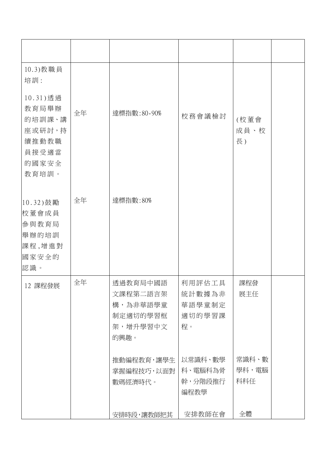| 10.3)教職員<br>培訓:<br>10.31)透過<br>教育局舉辦<br>的培訓課、講<br>座或研討,持<br>續推動教職<br>員接受適當<br>的國家安全<br>教育培訓。 | 全年 | 達標指數:80-90%                                                                    | 校務會議檢討                                                | (校董會<br>成員、校<br>長)  |  |
|----------------------------------------------------------------------------------------------|----|--------------------------------------------------------------------------------|-------------------------------------------------------|---------------------|--|
| 10.32)鼓勵<br>校董會成員<br>參與教育局<br>舉辦的培訓<br>課程,增進對<br>國家安全的<br>認識。                                | 全年 | 達標指數:80%                                                                       |                                                       |                     |  |
| 12 課程發展                                                                                      | 全年 | 透過教育局中國語<br>文課程第二語言架<br>構,為非華語學童<br>制定適切的學習框<br>架,增升學習中文<br>的興趣。<br>推動編程教育,讓學生 | 利用評估工具<br>統計數據為非<br>華語學童制定<br>適切的學習課<br>程。<br>以常識科、數學 | 課程發<br>展主任<br>常識科、數 |  |
|                                                                                              |    | 掌握編程技巧,以面對<br>數碼經濟時代。                                                          | 科、電腦科為骨<br>幹,分階段推行<br>編程教學                            | 學科,電腦<br>科科任        |  |
|                                                                                              |    | 安排時段,讓教師把其                                                                     | 安排教師在會                                                | 全體                  |  |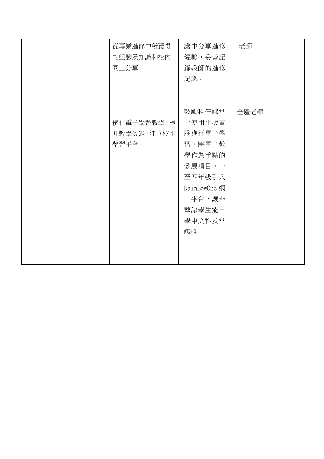| 從專業進修中所獲得<br>的經驗及知識和校內<br>同工分享    | 議中分享進修<br>經驗,妥善記<br>錄教師的進修<br>記錄。                                                                                       | 老師   |  |
|-----------------------------------|-------------------------------------------------------------------------------------------------------------------------|------|--|
| 優化電子學習教學,提<br>升教學效能,建立校本<br>學習平台。 | 鼓勵科任課堂<br>上使用平板電<br>腦進行電子學<br>習,將電子教<br>學作為重點的<br>發展項目。一<br>至四年級引入<br>RainBowOne 網<br>上平台,讓非<br>華語學生能自<br>學中文科及常<br>識科。 | 全體老師 |  |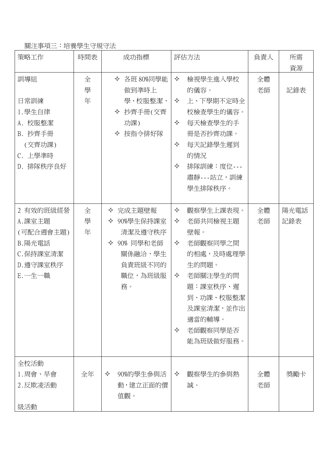#### 關注事項三:培養學生守規守法

| 策略工作                                                                            | 時間表         | 成功指標                                                                                     | 評估方法                                                                                                                                                                         | 負責人      | 所需          |
|---------------------------------------------------------------------------------|-------------|------------------------------------------------------------------------------------------|------------------------------------------------------------------------------------------------------------------------------------------------------------------------------|----------|-------------|
| 訓導組<br>日常訓練<br>1.學生自律<br>A. 校服整潔<br>B. 抄齊手冊<br>(交齊功課)<br>C. 上學準時<br>D. 排隊秩序良好   | 全<br>學<br>年 | ❖ 各班 80%同學能<br>做到準時上<br>學、校服整潔、<br>◆ 抄齊手冊(交齊<br>功課)<br>♦ 按指令排好隊                          | ✧<br>檢視學生進入學校<br>的儀容。<br>✧<br>上、下學期不定時全<br>校檢查學生的儀容。<br>每天檢查學生的手<br>✧<br>冊是否抄齊功課。<br>每天記錄學生遲到<br>✧<br>的情況<br>排隊訓練:度位 - - -<br>✧<br>肅靜---站立,訓練<br>學生排隊秩序。                     | 全體<br>老師 | 資源<br>記錄表   |
| 2 有效的班級經營<br>A. 課室主題<br>(可配合週會主題)<br>B. 陽光電話<br>C.保持課室清潔<br>D.遵守課室秩序<br>E. 一生一職 | 全<br>學<br>年 | ♦ 完成主題壁報<br>◆ 90%學生保持課室<br>清潔及遵守秩序<br>◆ 90% 同學和老師<br>關係融洽,學生<br>負責班級不同的<br>職位,為班級服<br>務。 | 觀察學生上課表現。<br>✧<br>老師共同檢視主題<br>✧<br>壁報。<br>老師觀察同學之間<br>✧<br>的相處,及時處理學<br>生的問題。<br>老師關注學生的問<br>✧<br>題:課室秩序、遲<br>到、功課、校服整潔<br>及課室清潔,並作出<br>適當的輔導。<br>老師觀察同學是否<br>✧<br>能為班級做好服務。 | 全體<br>老師 | 陽光電話<br>記錄表 |
| 全校活動<br>1.周會、早會<br>2.反欺凌活動<br>級活動                                               | 全年          | 90%的學生參與活<br>✧<br>動,建立正面的價<br>值觀。                                                        | 觀察學生的參與熱<br>✧<br>誠。                                                                                                                                                          | 全體<br>老師 | 獎勵卡         |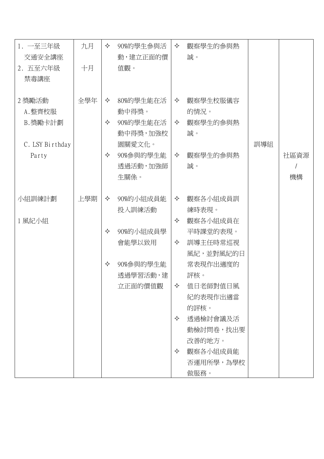| 1. 一至三年級        | 九月  | ✧ | 90%的學生參與活 | ✧ | 觀察學生的參與熱  |     |      |
|-----------------|-----|---|-----------|---|-----------|-----|------|
| 交通安全講座          |     |   | 動,建立正面的價  |   | 誠。        |     |      |
| 2. 五至六年級        | 十月  |   | 值觀。       |   |           |     |      |
| 禁毒講座            |     |   |           |   |           |     |      |
|                 |     |   |           |   |           |     |      |
| 2 獎勵活動          | 全學年 | ✧ | 80%的學生能在活 | ✧ | 觀察學生校服儀容  |     |      |
| A. 整齊校服         |     |   | 動中得獎。     |   | 的情况。      |     |      |
| B. 獎勵卡計劃        |     | ✧ | 90%的學生能在活 | ✧ | 觀察學生的參與熱  |     |      |
|                 |     |   | 動中得獎,加強校  |   | 誠。        |     |      |
| C. LSY Birthday |     |   | 園關愛文化。    |   |           | 訓導組 |      |
| Party           |     | ✧ | 90%參與的學生能 | ✧ | 觀察學生的參與熱  |     | 社區資源 |
|                 |     |   | 透過活動,加強師  |   | 誠。        |     |      |
|                 |     |   | 生關係。      |   |           |     | 機構   |
|                 |     |   |           |   |           |     |      |
| 小組訓練計劃          | 上學期 | ✧ | 90%的小組成員能 | ✧ | 觀察各小組成員訓  |     |      |
|                 |     |   | 投入訓練活動    |   | 練時表現。     |     |      |
| 1 風紀小組          |     |   |           | ✧ | 觀察各小組成員在  |     |      |
|                 |     | ✧ | 90%的小組成員學 |   | 平時課堂的表現。  |     |      |
|                 |     |   | 會能學以致用    | ✧ | 訓導主任時常巡視  |     |      |
|                 |     |   |           |   | 風紀,並對風紀的日 |     |      |
|                 |     | ✧ | 90%参與的學生能 |   | 常表現作出適度的  |     |      |
|                 |     |   | 透過學習活動,建  |   | 評核。       |     |      |
|                 |     |   | 立正面的價值觀   | ✧ | 值日老師對值日風  |     |      |
|                 |     |   |           |   | 紀的表現作出適當  |     |      |
|                 |     |   |           |   | 的評核。      |     |      |
|                 |     |   |           | ✧ | 透過檢討會議及活  |     |      |
|                 |     |   |           |   | 動檢討問卷,找出要 |     |      |
|                 |     |   |           |   | 改善的地方。    |     |      |
|                 |     |   |           | ✧ | 觀察各小組成員能  |     |      |
|                 |     |   |           |   | 否運用所學,為學校 |     |      |
|                 |     |   |           |   | 做服務。      |     |      |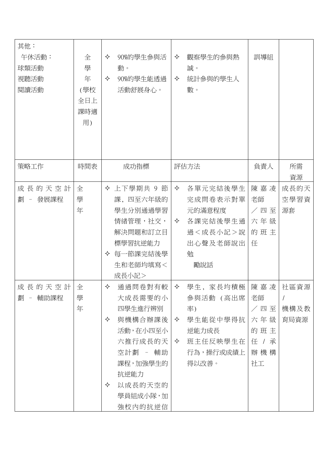| 其他:<br>午休活動:<br>球類活動<br>視聽活動<br>閱讀活動 | 全<br>學<br>年<br>(學校<br>全日上<br>課時適<br>用) | 90%的學生參與活<br>✧<br>動。<br>90%的學生能透過<br>✧<br>活動舒展身心。                                                                                                | 觀察學生的參與熱<br>✧<br>誠。<br>統計參與的學生人<br>✧<br>數。                                                        | 訓導組                                                  |                      |
|--------------------------------------|----------------------------------------|--------------------------------------------------------------------------------------------------------------------------------------------------|---------------------------------------------------------------------------------------------------|------------------------------------------------------|----------------------|
| 策略工作                                 | 時間表                                    | 成功指標                                                                                                                                             | 評估方法                                                                                              | 負責人                                                  | 所需<br>資源             |
| 成長的天空計<br>劃<br>發展課程<br>$\equiv$      | 全<br>學<br>年                            | ◆ 上下學期共 9 節<br>課,四至六年級的<br>學生分別通過學習<br>情緒管理, 社交,<br>解決問題和訂立目<br>標學習抗逆能力<br>◆ 每一節課完結後學<br>生和老師均填寫<<br>成長小記>                                       | ✧<br>各單元完結後學生<br>完成問卷表示對單<br>元的滿意程度<br>各課完結後學生通<br>✧<br>過<成長小記>說<br>出心聲及老師說出<br>勉<br>勵說話          | 陳嘉凌<br>老師<br>/四至<br>六年級<br>的班主<br>任                  | 成長的天<br>空學習資<br>源套   |
| 成長的天空計<br>劃 - 輔助課程                   | 全<br>學<br>年                            | 通過問卷對有較<br>✧<br>大成長需要的小<br>四學生進行辨別<br>與機構合辦課後<br>✧<br>活動,在小四至小<br>六推行成長的天<br>空計劃 - 輔助<br>課程,加強學生的<br>抗逆能力<br>以成長的天空的<br>✧<br>學員組成小隊,加<br>強校內的抗逆信 | 學生,家長均積極<br>✧<br>參與活動 (高出席<br>率)<br>學生能從中學得抗<br>✧<br>逆能力成長<br>班主任反映學生在<br>✧<br>行為,操行或成績上<br>得以改善。 | 陳嘉凌<br>老師<br>/四至<br>六年級<br>的班主<br>任 / 承<br>辦機構<br>社工 | 社區資源<br>機構及教<br>育局資源 |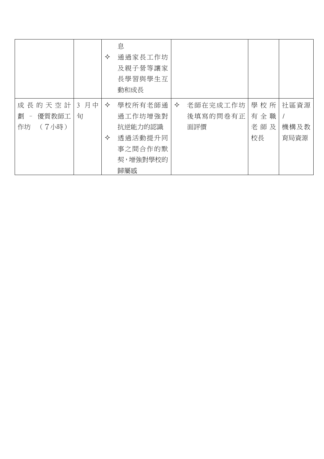|                        |      | ✧ | 息<br>通過家長工作坊<br>及親子營等讓家<br>長學習與學生互<br>動和成長 |   |          |     |      |
|------------------------|------|---|--------------------------------------------|---|----------|-----|------|
| 成長的天空計                 | 3 月中 | ✧ | 學校所有老師通                                    | ✧ | 老師在完成工作坊 | 學校所 | 社區資源 |
| 優質教師工<br>劃<br>$\equiv$ | 旬    |   | 過工作坊增強對                                    |   | 後填寫的問卷有正 | 有全職 |      |
| (7小時)<br>作坊            |      |   | 抗逆能力的認識                                    |   | 面評價      | 老師及 | 機構及教 |
|                        |      | ✧ | 透過活動提升同                                    |   |          | 校長  | 育局資源 |
|                        |      |   | 事之間合作的默                                    |   |          |     |      |
|                        |      |   | 契,增強對學校的                                   |   |          |     |      |
|                        |      |   | 歸屬感                                        |   |          |     |      |